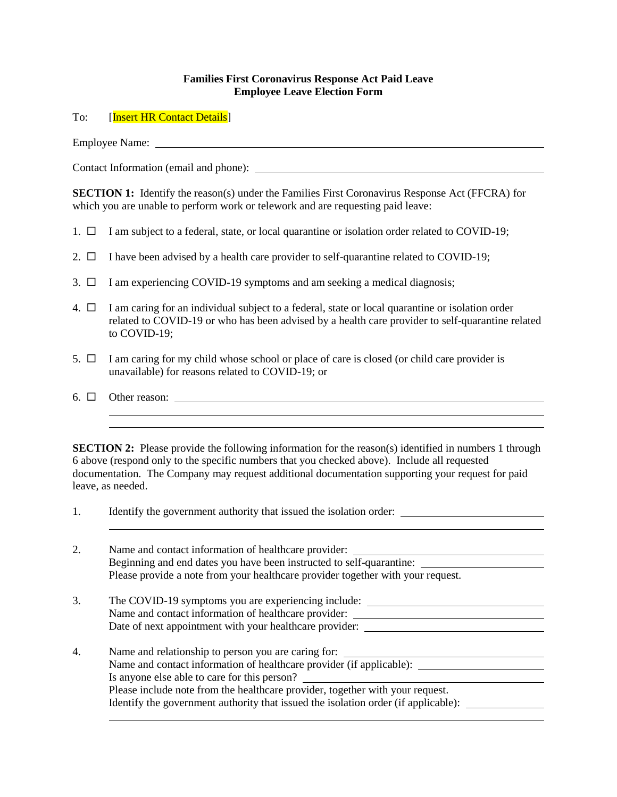## **Families First Coronavirus Response Act Paid Leave Employee Leave Election Form**

To: [Insert HR Contact Details]

Employee Name:

Contact Information (email and phone):

**SECTION 1:** Identify the reason(s) under the Families First Coronavirus Response Act (FFCRA) for which you are unable to perform work or telework and are requesting paid leave:

- 1.  $\Box$  I am subject to a federal, state, or local quarantine or isolation order related to COVID-19;
- 2.  $\Box$  I have been advised by a health care provider to self-quarantine related to COVID-19;
- 3.  $\Box$  I am experiencing COVID-19 symptoms and am seeking a medical diagnosis;
- 4.  $\Box$  I am caring for an individual subject to a federal, state or local quarantine or isolation order related to COVID-19 or who has been advised by a health care provider to self-quarantine related to COVID-19;
- 5.  $\Box$  I am caring for my child whose school or place of care is closed (or child care provider is unavailable) for reasons related to COVID-19; or
- 6. Other reason:

**SECTION 2:** Please provide the following information for the reason(s) identified in numbers 1 through 6 above (respond only to the specific numbers that you checked above). Include all requested documentation. The Company may request additional documentation supporting your request for paid leave, as needed.

i<br>L

1. Identify the government authority that issued the isolation order:

| 2.               | Name and contact information of healthcare provider:<br>Beginning and end dates you have been instructed to self-quarantine:<br>Please provide a note from your healthcare provider together with your request.                                                                                                                                          |
|------------------|----------------------------------------------------------------------------------------------------------------------------------------------------------------------------------------------------------------------------------------------------------------------------------------------------------------------------------------------------------|
| 3.               | The COVID-19 symptoms you are experiencing include:<br>Name and contact information of healthcare provider:<br>Date of next appointment with your healthcare provider:                                                                                                                                                                                   |
| $\overline{4}$ . | Name and relationship to person you are caring for:<br>Name and contact information of healthcare provider (if applicable): _____<br>Is anyone else able to care for this person?<br>Please include note from the healthcare provider, together with your request.<br>Identify the government authority that issued the isolation order (if applicable): |